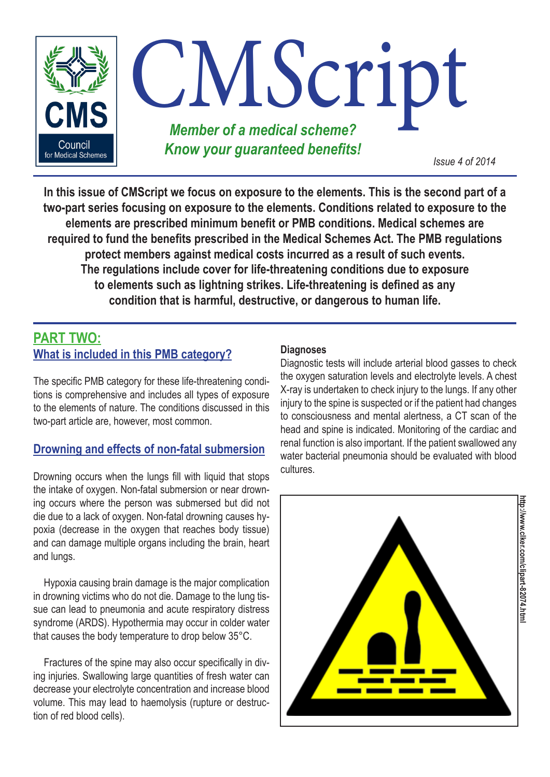

**In this issue of CMScript we focus on exposure to the elements. This is the second part of a two-part series focusing on exposure to the elements. Conditions related to exposure to the elements are prescribed minimum benefit or PMB conditions. Medical schemes are required to fund the benefits prescribed in the Medical Schemes Act. The PMB regulations protect members against medical costs incurred as a result of such events. The regulations include cover for life-threatening conditions due to exposure to elements such as lightning strikes. Life-threatening is defined as any condition that is harmful, destructive, or dangerous to human life.**

# **PART TWO: What is included in this PMB category?**

The specific PMB category for these life-threatening conditions is comprehensive and includes all types of exposure to the elements of nature. The conditions discussed in this two-part article are, however, most common.

## **Drowning and effects of non-fatal submersion**

Drowning occurs when the lungs fill with liquid that stops the intake of oxygen. Non-fatal submersion or near drowning occurs where the person was submersed but did not die due to a lack of oxygen. Non-fatal drowning causes hypoxia (decrease in the oxygen that reaches body tissue) and can damage multiple organs including the brain, heart and lungs.

Hypoxia causing brain damage is the major complication in drowning victims who do not die. Damage to the lung tissue can lead to pneumonia and acute respiratory distress syndrome (ARDS). Hypothermia may occur in colder water that causes the body temperature to drop below 35°C.

Fractures of the spine may also occur specifically in diving injuries. Swallowing large quantities of fresh water can decrease your electrolyte concentration and increase blood volume. This may lead to haemolysis (rupture or destruction of red blood cells).

#### **Diagnoses**

Diagnostic tests will include arterial blood gasses to check the oxygen saturation levels and electrolyte levels. A chest X-ray is undertaken to check injury to the lungs. If any other injury to the spine is suspected or if the patient had changes to consciousness and mental alertness, a CT scan of the head and spine is indicated. Monitoring of the cardiac and renal function is also important. If the patient swallowed any water bacterial pneumonia should be evaluated with blood cultures.



**http://www.clker.com/clipart-82074.html**http://www.clker.com/clipart-82074.htm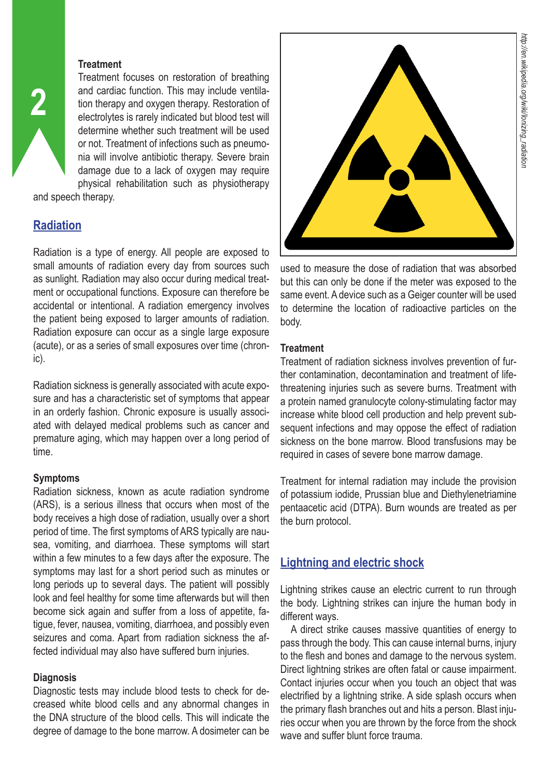### **Treatment**

Treatment focuses on restoration of breathing and cardiac function. This may include ventilation therapy and oxygen therapy. Restoration of electrolytes is rarely indicated but blood test will determine whether such treatment will be used or not. Treatment of infections such as pneumonia will involve antibiotic therapy. Severe brain damage due to a lack of oxygen may require physical rehabilitation such as physiotherapy

and speech therapy.

# **Radiation**

**2**

Radiation is a type of energy. All people are exposed to small amounts of radiation every day from sources such as sunlight. Radiation may also occur during medical treatment or occupational functions. Exposure can therefore be accidental or intentional. A radiation emergency involves the patient being exposed to larger amounts of radiation. Radiation exposure can occur as a single large exposure (acute), or as a series of small exposures over time (chronic).

Radiation sickness is generally associated with acute exposure and has a characteristic set of symptoms that appear in an orderly fashion. Chronic exposure is usually associated with delayed medical problems such as cancer and premature aging, which may happen over a long period of time.

## **Symptoms**

Radiation sickness, known as acute radiation syndrome (ARS), is a serious illness that occurs when most of the body receives a high dose of radiation, usually over a short period of time. The first symptoms of ARS typically are nausea, vomiting, and diarrhoea. These symptoms will start within a few minutes to a few days after the exposure. The symptoms may last for a short period such as minutes or long periods up to several days. The patient will possibly look and feel healthy for some time afterwards but will then become sick again and suffer from a loss of appetite, fatigue, fever, nausea, vomiting, diarrhoea, and possibly even seizures and coma. Apart from radiation sickness the affected individual may also have suffered burn injuries.

## **Diagnosis**

Diagnostic tests may include blood tests to check for decreased white blood cells and any abnormal changes in the DNA structure of the blood cells. This will indicate the degree of damage to the bone marrow. A dosimeter can be



used to measure the dose of radiation that was absorbed but this can only be done if the meter was exposed to the same event. A device such as a Geiger counter will be used to determine the location of radioactive particles on the body.

### **Treatment**

Treatment of radiation sickness involves prevention of further contamination, decontamination and treatment of lifethreatening injuries such as severe burns. Treatment with a protein named granulocyte colony-stimulating factor may increase white blood cell production and help prevent subsequent infections and may oppose the effect of radiation sickness on the bone marrow. Blood transfusions may be required in cases of severe bone marrow damage.

Treatment for internal radiation may include the provision of potassium iodide, Prussian blue and Diethylenetriamine pentaacetic acid (DTPA). Burn wounds are treated as per the burn protocol.

# **Lightning and electric shock**

Lightning strikes cause an electric current to run through the body. Lightning strikes can injure the human body in different ways.

A direct strike causes massive quantities of energy to pass through the body. This can cause internal burns, injury to the flesh and bones and damage to the nervous system. Direct lightning strikes are often fatal or cause impairment. Contact injuries occur when you touch an object that was electrified by a lightning strike. A side splash occurs when the primary flash branches out and hits a person. Blast injuries occur when you are thrown by the force from the shock wave and suffer blunt force trauma.